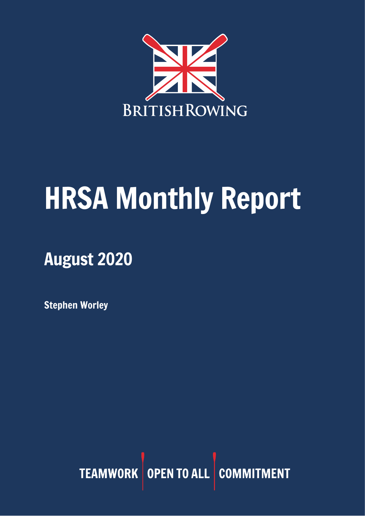

# HRSA Monthly Report

# August 2020

Stephen Worley

TEAMWORK OPEN TO ALL COMMITMENT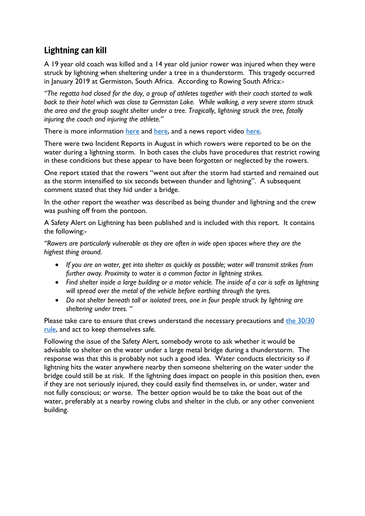# Lightning can kill

A 19 year old coach was killed and a 14 year old junior rower was injured when they were struck by lightning when sheltering under a tree in a thunderstorm. This tragedy occurred in January 2019 at Germiston, South Africa. According to Rowing South Africa:-

*"The regatta had closed for the day, a group of athletes together with their coach started to walk back to their hotel which was close to Germiston Lake. While walking, a very severe storm struck the area and the group sought shelter under a tree. Tragically, lightning struck the tree, fatally injuring the coach and injuring the athlete."* 

There is more information [here](https://citizen.co.za/news/south-africa/local-news/2072338/rowing-south-africa-sheds-light-on-germiston-lake-tragedy/#:~:text=A%20young%20coach%20and%20rower,Saturday%2C%20reports%20Germiston%20City%20News.) and [here,](https://www.timeslive.co.za/news/south-africa/2019-01-28-school-pays-tribute-to-rowing-coach-killed-in-lightning-strike/) and a news report video [here.](https://www.youtube.com/watch?v=y618hEaVXMU)

There were two Incident Reports in August in which rowers were reported to be on the water during a lightning storm. In both cases the clubs have procedures that restrict rowing in these conditions but these appear to have been forgotten or neglected by the rowers.

One report stated that the rowers "went out after the storm had started and remained out as the storm intensified to six seconds between thunder and lightning". A subsequent comment stated that they hid under a bridge.

In the other report the weather was described as being thunder and lightning and the crew was pushing off from the pontoon.

A Safety Alert on Lightning has been published and is included with this report. It contains the following:-

*"Rowers are particularly vulnerable as they are often in wide open spaces where they are the highest thing around.*

- *If you are on water, get into shelter as quickly as possible; water will transmit strikes from further away. Proximity to water is a common factor in lightning strikes.*
- Find shelter inside a large building or a motor vehicle. The inside of a car is safe as lightning *will spread over the metal of the vehicle before earthing through the tyres.*
- *Do not shelter beneath tall or isolated trees, one in four people struck by lightning are sheltering under trees. "*

Please take care to ensure that crews understand the necessary precautions and the [30/30](https://www.rospa.com/leisure-safety/advice/lightning/) [rule,](https://www.rospa.com/leisure-safety/advice/lightning/) and act to keep themselves safe.

Following the issue of the Safety Alert, somebody wrote to ask whether it would be advisable to shelter on the water under a large metal bridge during a thunderstorm. The response was that this is probably not such a good idea. Water conducts electricity so if lightning hits the water anywhere nearby then someone sheltering on the water under the bridge could still be at risk. If the lightning does impact on people in this position then, even if they are not seriously injured, they could easily find themselves in, or under, water and not fully conscious; or worse. The better option would be to take the boat out of the water, preferably at a nearby rowing clubs and shelter in the club, or any other convenient building.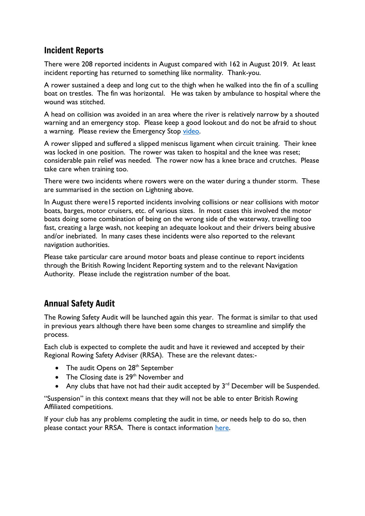## Incident Reports

There were 208 reported incidents in August compared with 162 in August 2019. At least incident reporting has returned to something like normality. Thank-you.

A rower sustained a deep and long cut to the thigh when he walked into the fin of a sculling boat on trestles. The fin was horizontal. He was taken by ambulance to hospital where the wound was stitched.

A head on collision was avoided in an area where the river is relatively narrow by a shouted warning and an emergency stop. Please keep a good lookout and do not be afraid to shout a warning. Please review the Emergency Stop [video.](https://www.youtube.com/watch?v=3RBfI-O_AUo&feature=youtu.be)

A rower slipped and suffered a slipped meniscus ligament when circuit training. Their knee was locked in one position. The rower was taken to hospital and the knee was reset; considerable pain relief was needed. The rower now has a knee brace and crutches. Please take care when training too.

There were two incidents where rowers were on the water during a thunder storm. These are summarised in the section on Lightning above.

In August there were15 reported incidents involving collisions or near collisions with motor boats, barges, motor cruisers, etc. of various sizes. In most cases this involved the motor boats doing some combination of being on the wrong side of the waterway, travelling too fast, creating a large wash, not keeping an adequate lookout and their drivers being abusive and/or inebriated. In many cases these incidents were also reported to the relevant navigation authorities.

Please take particular care around motor boats and please continue to report incidents through the British Rowing Incident Reporting system and to the relevant Navigation Authority. Please include the registration number of the boat.

# Annual Safety Audit

The Rowing Safety Audit will be launched again this year. The format is similar to that used in previous years although there have been some changes to streamline and simplify the process.

Each club is expected to complete the audit and have it reviewed and accepted by their Regional Rowing Safety Adviser (RRSA). These are the relevant dates:-

- The audit Opens on 28<sup>th</sup> September
- The Closing date is  $29<sup>th</sup>$  November and
- Any clubs that have not had their audit accepted by  $3<sup>rd</sup>$  December will be Suspended.

"Suspension" in this context means that they will not be able to enter British Rowing Affiliated competitions.

If your club has any problems completing the audit in time, or needs help to do so, then please contact your RRSA. There is contact information [here.](https://www.britishrowing.org/knowledge/safety/rowing-safety-contacts/)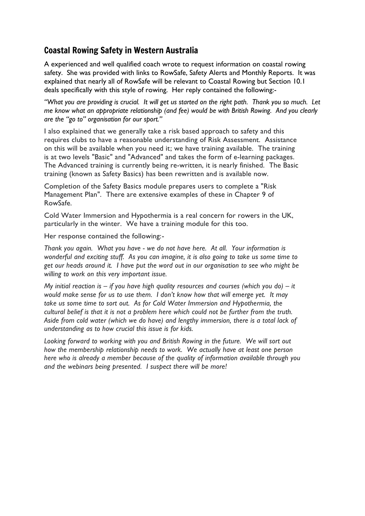# Coastal Rowing Safety in Western Australia

A experienced and well qualified coach wrote to request information on coastal rowing safety. She was provided with links to RowSafe, Safety Alerts and Monthly Reports. It was explained that nearly all of RowSafe will be relevant to Coastal Rowing but Section 10.1 deals specifically with this style of rowing. Her reply contained the following:-

*"What you are providing is crucial. It will get us started on the right path. Thank you so much. Let me know what an appropriate relationship (and fee) would be with British Rowing. And you clearly are the "go to" organisation for our sport."* 

I also explained that we generally take a risk based approach to safety and this requires clubs to have a reasonable understanding of Risk Assessment. Assistance on this will be available when you need it; we have training available. The training is at two levels "Basic" and "Advanced" and takes the form of e-learning packages. The Advanced training is currently being re-written, it is nearly finished. The Basic training (known as Safety Basics) has been rewritten and is available now.

Completion of the Safety Basics module prepares users to complete a "Risk Management Plan". There are extensive examples of these in Chapter 9 of RowSafe.

Cold Water Immersion and Hypothermia is a real concern for rowers in the UK, particularly in the winter. We have a training module for this too.

Her response contained the following:-

*Thank you again. What you have - we do not have here. At all. Your information is wonderful and exciting stuff. As you can imagine, it is also going to take us some time to get our heads around it. I have put the word out in our organisation to see who might be willing to work on this very important issue.* 

*My initial reaction is – if you have high quality resources and courses (which you do) – it would make sense for us to use them. I don't know how that will emerge yet. It may take us some time to sort out. As for Cold Water Immersion and Hypothermia, the cultural belief is that it is not a problem here which could not be further from the truth. Aside from cold water (which we do have) and lengthy immersion, there is a total lack of understanding as to how crucial this issue is for kids.* 

*Looking forward to working with you and British Rowing in the future. We will sort out how the membership relationship needs to work. We actually have at least one person here who is already a member because of the quality of information available through you and the webinars being presented. I suspect there will be more!*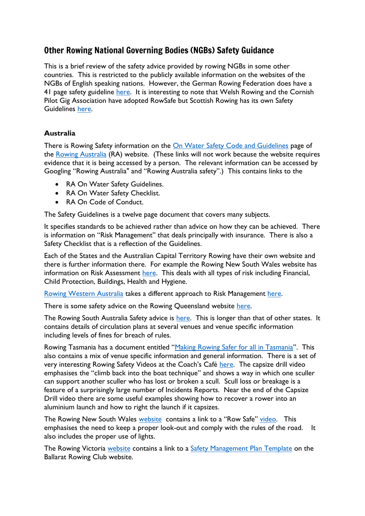# Other Rowing National Governing Bodies (NGBs) Safety Guidance

This is a brief review of the safety advice provided by rowing NGBs in some other countries. This is restricted to the publicly available information on the websites of the NGBs of English speaking nations. However, the German Rowing Federation does have a 41 page safety guideline [here.](https://www.rudern.de/sites/default/files/downloads/drv-sicherheitshandbuch-2020-auszug.pdf) It is interesting to note that Welsh Rowing and the Cornish Pilot Gig Association have adopted RowSafe but Scottish Rowing has its own Safety Guidelines [here.](https://www.scottish-rowing.org.uk/images/pdf_folder/Oct_2011b_-_Water_Safety_Code_Policy.pdf)

#### **Australia**

There is Rowing Safety information on the On Water Safety Code and [Guidelines](https://rowingaustralia.com.au/ra-on-water-safety-code-and-guidelines/) page of the Rowing [Australia](https://rowingaustralia.com.au/) (RA) website. (These links will not work because the website requires evidence that it is being accessed by a person. The relevant information can be accessed by Googling "Rowing Australia" and "Rowing Australia safety".) This contains links to the

- RA On Water Safety Guidelines.
- RA On Water Safety Checklist.
- RA On Code of Conduct.

The Safety Guidelines is a twelve page document that covers many subjects.

It specifies standards to be achieved rather than advice on how they can be achieved. There is information on "Risk Management" that deals principally with insurance. There is also a Safety Checklist that is a reflection of the Guidelines.

Each of the States and the Australian Capital Territory Rowing have their own website and there is further information there. For example the Rowing New South Wales website has information on Risk Assessment [here.](https://cdn.revolutionise.com.au/site/gaatv7joejbsohl0.pdf) This deals with all types of risk including Financial, Child Protection, Buildings, Health and Hygiene.

[Rowing Western Australia](https://www.rowingwa.asn.au/home/) takes a different approach to Risk Management [here.](https://cdn.revolutionise.com.au/cups/rowingwa/files/zjrhia54btxjceaj.pdf)

There is some safety advice on the Rowing Queensland website [here.](https://www.rowingqld.asn.au/water-river-safety/)

The Rowing South Australia Safety advice is [here.](https://rowingsa.asn.au/wp-content/uploads/2019/11/Rowing-SA-Safety-Training-Policy_FINAL.pdf) This is longer than that of other states. It contains details of circulation plans at several venues and venue specific information including levels of fines for breach of rules.

Rowing [Tasmania](https://cdn.revolutionise.com.au/site/vaq3ibfafovpk8eb.pdf) has a document entitled "Making Rowing Safer for all in Tasmania". This also contains a mix of venue specific information and general information. There is a set of very interesting Rowing Safety Videos at the Coach's Café [here.](https://www.rowingtasmania.com.au/coachs-cafe/safety-videos/) The capsize drill video emphasises the "climb back into the boat technique" and shows a way in which one sculler can support another sculler who has lost or broken a scull. Scull loss or breakage is a feature of a surprisingly large number of Incidents Reports. Near the end of the Capsize Drill video there are some useful examples showing how to recover a rower into an aluminium launch and how to right the launch if it capsizes.

The Rowing New South Wales [website](https://www.rowingnsw.asn.au/home/) contains a link to a "Row Safe" [video.](https://www.youtube.com/watch?v=XPyGuR7yaGA) This emphasises the need to keep a proper look-out and comply with the rules of the road. It also includes the proper use of lights.

The Rowing Victoria [website](https://www.rowingvictoria.asn.au/home/) contains a link to a Safety [Management](https://www.google.co.uk/url?sa=t&rct=j&q=&esrc=s&source=web&cd=&ved=2ahUKEwjN5vbv87XrAhV5REEAHajKBbMQFjAAegQIBBAB&url=https%3A%2F%2Fwww.ballaratcityrowing.com%2Fs%2FRV-Safety-Management-Plan.docx&usg=AOvVaw2p4P2YvnSZPH3EXJISN9DM) Plan Template on the Ballarat Rowing Club website.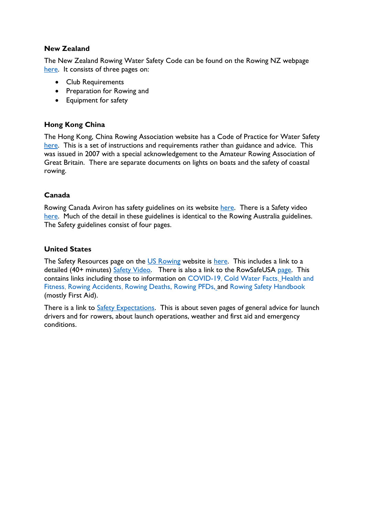#### **New Zealand**

The New Zealand Rowing Water Safety Code can be found on the Rowing NZ webpage [here.](https://www.rowingnz.kiwi/Attachment?Action=Download&Attachment_id=352) It consists of three pages on:

- Club Requirements
- Preparation for Rowing and
- Equipment for safety

#### **Hong Kong China**

The Hong Kong, China Rowing Association website has a Code of Practice for Water Safety [here.](http://www.rowing.org.hk/wp-content/uploads/2016/03/5_Safety-Guidelines-ENG.pdf) This is a set of instructions and requirements rather than guidance and advice. This was issued in 2007 with a special acknowledgement to the Amateur Rowing Association of Great Britain. There are separate documents on lights on boats and the safety of coastal rowing.

#### **Canada**

Rowing Canada Aviron has safety guidelines on its website [here.](https://rowingcanada.org/uploads/2019/05/safetyguidelinesrcav2.pdf) There is a Safety video [here.](https://www.youtube.com/watch?v=vVOCsfJna3Q) Much of the detail in these guidelines is identical to the Rowing Australia guidelines. The Safety guidelines consist of four pages.

#### **United States**

The Safety Resources page on the [US Rowing](https://usrowing.org/index.aspx) website is [here.](https://usrowing.org/sports/2016/6/2/900_132107062339971607.aspx) This includes a link to a detailed (40+ minutes) [Safety Video.](https://usrowing.org/sports/2016/6/19/1138_132107067295656159.aspx?id=51) There is also a link to the RowSafeUSA [page.](http://rowsafeusa.org/) This contains links including those to information on [COVID-19](http://rowsafeusa.org/covid-19-2/), [Cold Water Facts](http://rowsafeusa.org/cold-facts/), [Health and](http://rowsafeusa.org/health-and-fitness/)  [Fitness](http://rowsafeusa.org/health-and-fitness/), [Rowing Accidents](http://rowsafeusa.org/accidents-2/), [Rowing Deaths,](http://rowsafeusa.org/in-memorium/) [Rowing PFDs,](http://rowsafeusa.org/pfds/) and [Rowing Safety Handbook](http://rowsafeusa.org/rowing-safety-handbook/) (mostly First Aid).

There is a link to [Safety Expectations.](https://usrowing.org/sports/2016/5/27/1135_132107060688980085.aspx) This is about seven pages of general advice for launch drivers and for rowers, about launch operations, weather and first aid and emergency conditions.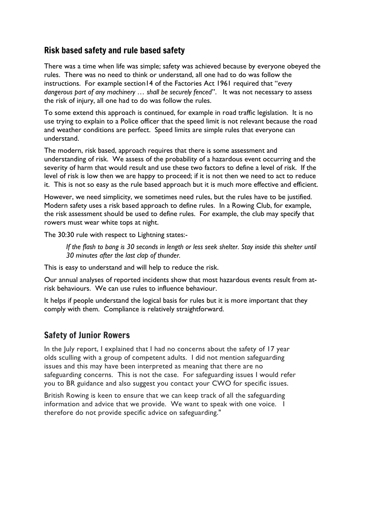# Risk based safety and rule based safety

There was a time when life was simple; safety was achieved because by everyone obeyed the rules. There was no need to think or understand, all one had to do was follow the instructions. For example section14 of the Factories Act 1961 required that "*every dangerous part of any machinery … shall be securely fenced*". It was not necessary to assess the risk of injury, all one had to do was follow the rules.

To some extend this approach is continued, for example in road traffic legislation. It is no use trying to explain to a Police officer that the speed limit is not relevant because the road and weather conditions are perfect. Speed limits are simple rules that everyone can understand.

The modern, risk based, approach requires that there is some assessment and understanding of risk. We assess of the probability of a hazardous event occurring and the severity of harm that would result and use these two factors to define a level of risk. If the level of risk is low then we are happy to proceed; if it is not then we need to act to reduce it. This is not so easy as the rule based approach but it is much more effective and efficient.

However, we need simplicity, we sometimes need rules, but the rules have to be justified. Modern safety uses a risk based approach to define rules. In a Rowing Club, for example, the risk assessment should be used to define rules. For example, the club may specify that rowers must wear white tops at night.

The 30:30 rule with respect to Lightning states:-

*If the flash to bang is 30 seconds in length or less seek shelter. Stay inside this shelter until 30 minutes after the last clap of thunder.*

This is easy to understand and will help to reduce the risk.

Our annual analyses of reported incidents show that most hazardous events result from atrisk behaviours. We can use rules to influence behaviour.

It helps if people understand the logical basis for rules but it is more important that they comply with them. Compliance is relatively straightforward.

# Safety of Junior Rowers

In the July report, I explained that I had no concerns about the safety of 17 year olds sculling with a group of competent adults. I did not mention safeguarding issues and this may have been interpreted as meaning that there are no safeguarding concerns. This is not the case. For safeguarding issues I would refer you to BR guidance and also suggest you contact your CWO for specific issues.

British Rowing is keen to ensure that we can keep track of all the safeguarding information and advice that we provide. We want to speak with one voice. I therefore do not provide specific advice on safeguarding."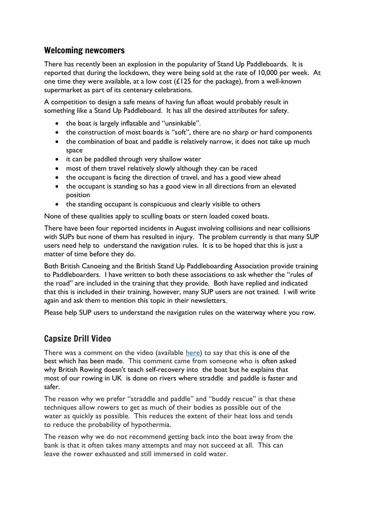#### Welcoming newcomers

There has recently been an explosion in the popularity of Stand Up Paddleboards. It is reported that during the lockdown, they were being sold at the rate of 10,000 per week. At one time they were available, at a low cost  $(E125$  for the package), from a well-known supermarket as part of its centenary celebrations.

A competition to design a safe means of having fun afloat would probably result in something like a Stand Up Paddleboard. It has all the desired attributes for safety.

- the boat is largely inflatable and "unsinkable".
- the construction of most boards is "soft", there are no sharp or hard components
- the combination of boat and paddle is relatively narrow, it does not take up much space
- it can be paddled through very shallow water
- most of them travel relatively slowly although they can be raced
- the occupant is facing the direction of travel, and has a good view ahead
- the occupant is standing so has a good view in all directions from an elevated position
- the standing occupant is conspicuous and clearly visible to others

None of these qualities apply to sculling boats or stern loaded coxed boats.

There have been four reported incidents in August involving collisions and near collisions with SUPs but none of them has resulted in injury. The problem currently is that many SUP users need help to understand the navigation rules. It is to be hoped that this is just a matter of time before they do.

Both British Canoeing and the British Stand Up Paddleboarding Association provide training to Paddleboarders. I have written to both these associations to ask whether the "rules of the road" are included in the training that they provide. Both have replied and indicated that this is included in their training, however, many SUP users are not trained. I will write again and ask them to mention this topic in their newsletters.

Please help SUP users to understand the navigation rules on the waterway where you row.

# Capsize Drill Video

There was a comment on the video (available [here\)](https://www.youtube.com/watch?v=A6un3TkbQUQ) to say that this is one of the best which has been made. This comment came from someone who is often asked why British Rowing doesn't teach self-recovery into the boat but he explains that most of our rowing in UK is done on rivers where straddle and paddle is faster and safer.

The reason why we prefer "straddle and paddle" and "buddy rescue" is that these techniques allow rowers to get as much of their bodies as possible out of the water as quickly as possible. This reduces the extent of their heat loss and tends to reduce the probability of hypothermia.

The reason why we do not recommend getting back into the boat away from the bank is that it often takes many attempts and may not succeed at all. This can leave the rower exhausted and still immersed in cold water.